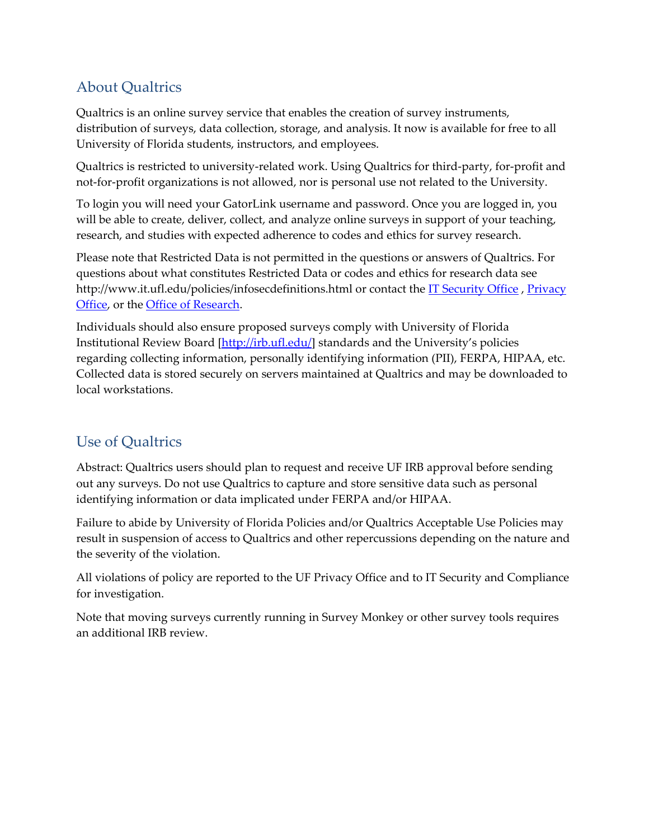## About Qualtrics

Qualtrics is an online survey service that enables the creation of survey instruments, distribution of surveys, data collection, storage, and analysis. It now is available for free to all University of Florida students, instructors, and employees.

Qualtrics is restricted to university‐related work. Using Qualtrics for third‐party, for‐profit and not-for-profit organizations is not allowed, nor is personal use not related to the University.

To login you will need your GatorLink username and password. Once you are logged in, you will be able to create, deliver, collect, and analyze online surveys in support of your teaching, research, and studies with expected adherence to codes and ethics for survey research.

Please note that Restricted Data is not permitted in the questions or answers of Qualtrics. For questions about what constitutes Restricted Data or codes and ethics for research data see http://www.it.ufl.edu/policies/infosecdefinitions.html or contact the IT [Security](http://infosec.ufl.edu/) Office, [Privacy](http://privacy.ufl.edu/contact/) [Office,](http://privacy.ufl.edu/contact/) or the Office of [Research](http://research.ufl.edu/or/contact/unit-listing.html).

Individuals should also ensure proposed surveys comply with University of Florida Institutional Review Board [\[http://irb.ufl.edu/\]](http://irb.ufl.edu) standards and the University's policies regarding collecting information, personally identifying information (PII), FERPA, HIPAA, etc. Collected data is stored securely on servers maintained at Qualtrics and may be downloaded to local workstations.

# Use of Qualtrics

Abstract: Qualtrics users should plan to request and receive UF IRB approval before sending out any surveys. Do not use Qualtrics to capture and store sensitive data such as personal identifying information or data implicated under FERPA and/or HIPAA.

Failure to abide by University of Florida Policies and/or Qualtrics Acceptable Use Policies may result in suspension of access to Qualtrics and other repercussions depending on the nature and the severity of the violation.

All violations of policy are reported to the UF Privacy Office and to IT Security and Compliance for investigation.

Note that moving surveys currently running in Survey Monkey or other survey tools requires an additional IRB review.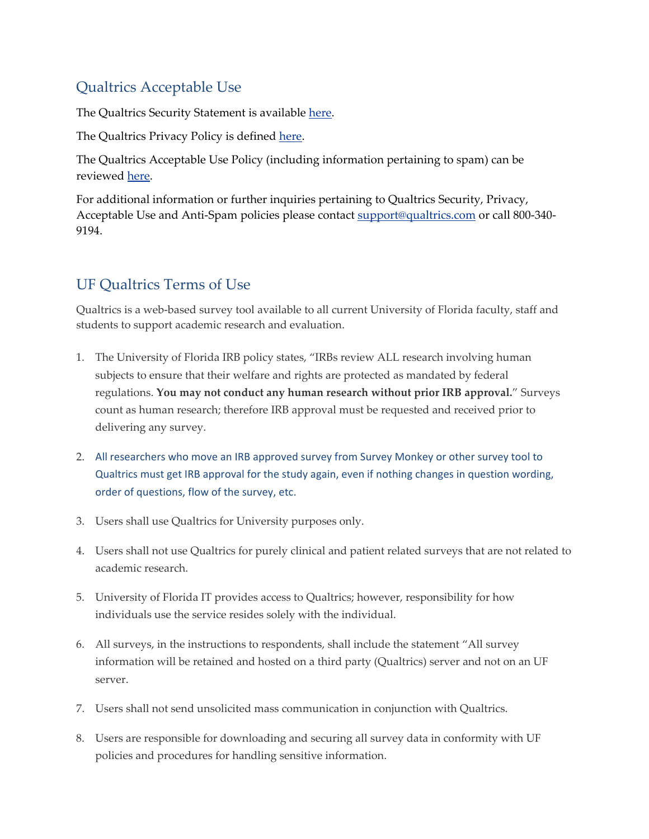#### Qualtrics Acceptable Use

The Qualtrics Security Statement is available [here.](http://www.qualtrics.com/security-statement)

The Qualtrics Privacy Policy is defined [here.](https://www.qualtrics.com/privacy-statement)

The Qualtrics Acceptable Use Policy (including information pertaining to spam) can be reviewed [here.](http://www.qualtrics.com/acceptable-use-statement)

For additional information or further inquiries pertaining to Qualtrics Security, Privacy, Acceptable Use and Anti-Spam policies please contact support@qualtrics.com or call 800-340-9194.

### UF Qualtrics Terms of Use

Qualtrics is a web‐based survey tool available to all current University of Florida faculty, staff and students to support academic research and evaluation.

- 1. The University of Florida IRB policy states, "IRBs review ALL research involving human subjects to ensure that their welfare and rights are protected as mandated by federal regulations. **You may not conduct any human research without prior IRB approval.**" Surveys count as human research; therefore IRB approval must be requested and received prior to delivering any survey.
- 2. All researchers who move an IRB approved survey from Survey Monkey or other survey tool to Qualtrics must get IRB approval for the study again, even if nothing changes in question wording, order of questions, flow of the survey, etc.
- 3. Users shall use Qualtrics for University purposes only.
- 4. Users shall not use Qualtrics for purely clinical and patient related surveys that are not related to academic research.
- 5. University of Florida IT provides access to Qualtrics; however, responsibility for how individuals use the service resides solely with the individual.
- 6. All surveys, in the instructions to respondents, shall include the statement "All survey information will be retained and hosted on a third party (Qualtrics) server and not on an UF server.
- 7. Users shall not send unsolicited mass communication in conjunction with Qualtrics.
- 8. Users are responsible for downloading and securing all survey data in conformity with UF policies and procedures for handling sensitive information.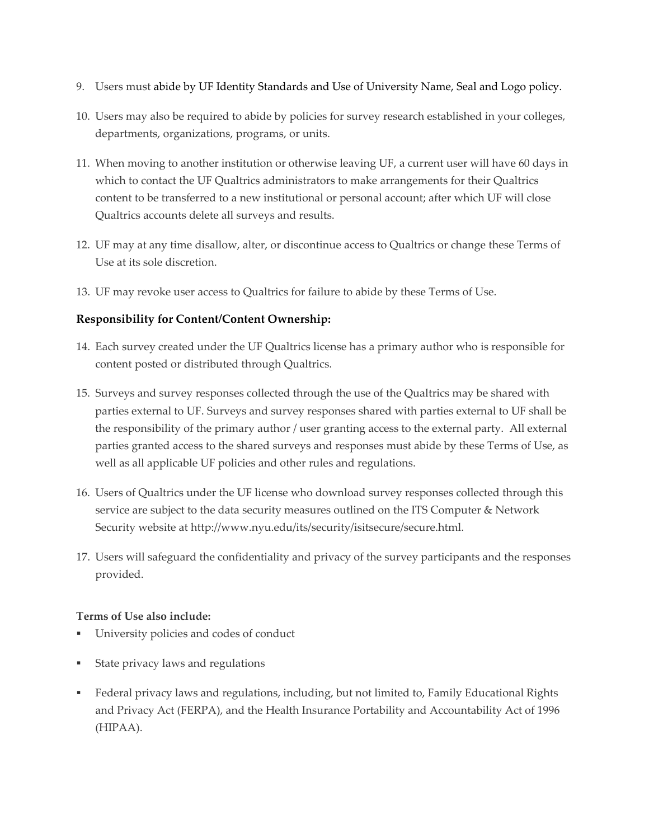- 9. Users must abide by UF Identity Standards and Use of University Name, Seal and Logo policy.
- 10. Users may also be required to abide by policies for survey research established in your colleges, departments, organizations, programs, or units.
- 11. When moving to another institution or otherwise leaving UF, a current user will have 60 days in which to contact the UF Qualtrics administrators to make arrangements for their Qualtrics content to be transferred to a new institutional or personal account; after which UF will close Qualtrics accounts delete all surveys and results.
- 12. UF may at any time disallow, alter, or discontinue access to Qualtrics or change these Terms of Use at its sole discretion.
- 13. UF may revoke user access to Qualtrics for failure to abide by these Terms of Use.

#### **Responsibility for Content/Content Ownership:**

- 14. Each survey created under the UF Qualtrics license has a primary author who is responsible for content posted or distributed through Qualtrics.
- 15. Surveys and survey responses collected through the use of the Qualtrics may be shared with parties external to UF. Surveys and survey responses shared with parties external to UF shall be the responsibility of the primary author / user granting access to the external party. All external parties granted access to the shared surveys and responses must abide by these Terms of Use, as well as all applicable UF policies and other rules and regulations.
- 16. Users of Qualtrics under the UF license who download survey responses collected through this service are subject to the data security measures outlined on the ITS Computer & Network Security website at [http://www.nyu.edu/its/security/isitsecure/secure.html.](http://www.nyu.edu/its/security/isitsecure/secure.html)
- 17. Users will safeguard the confidentiality and privacy of the survey participants and the responses provided.

#### **Terms of Use also include:**

- University policies and codes of conduct
- State privacy laws and regulations
- Federal privacy laws and regulations, including, but not limited to, Family Educational Rights and Privacy Act (FERPA), and the Health Insurance Portability and Accountability Act of 1996 (HIPAA).